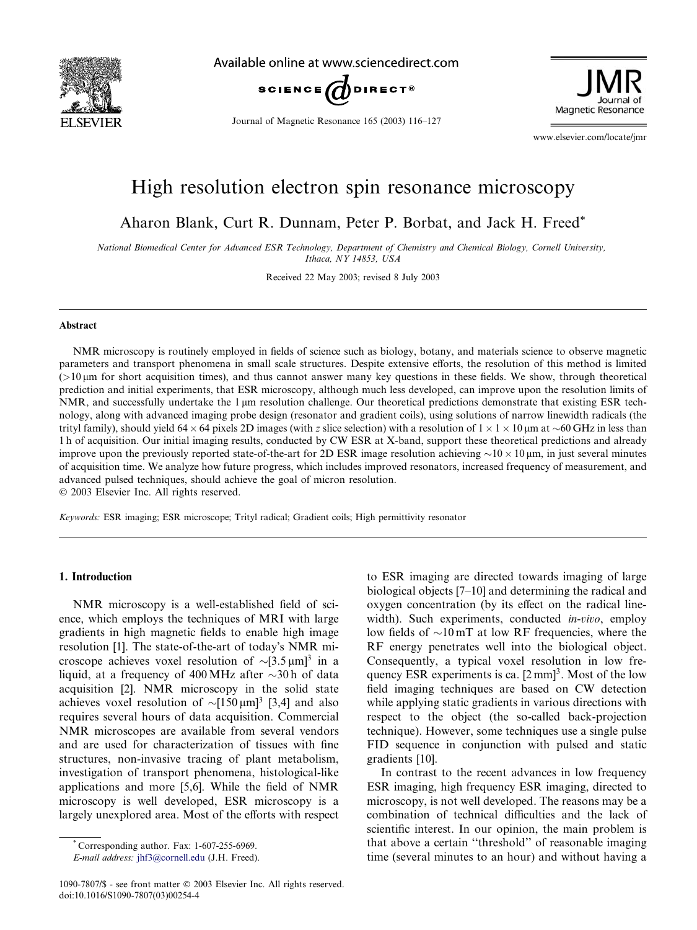

Available online at www.sciencedirect.com



Journal of Magnetic Resonance 165 (2003) 116–127

Magnetic Resonance

www.elsevier.com/locate/jmr

# High resolution electron spin resonance microscopy

Aharon Blank, Curt R. Dunnam, Peter P. Borbat, and Jack H. Freed\*

National Biomedical Center for Advanced ESR Technology, Department of Chemistry and Chemical Biology, Cornell University, Ithaca, NY 14853, USA

Received 22 May 2003; revised 8 July 2003

#### Abstract

NMR microscopy is routinely employed in fields of science such as biology, botany, and materials science to observe magnetic parameters and transport phenomena in small scale structures. Despite extensive efforts, the resolution of this method is limited  $(>10 \,\mu m$  for short acquisition times), and thus cannot answer many key questions in these fields. We show, through theoretical prediction and initial experiments, that ESR microscopy, although much less developed, can improve upon the resolution limits of NMR, and successfully undertake the  $1 \mu m$  resolution challenge. Our theoretical predictions demonstrate that existing ESR technology, along with advanced imaging probe design (resonator and gradient coils), using solutions of narrow linewidth radicals (the trityl family), should yield 64  $\times$  64 pixels 2D images (with z slice selection) with a resolution of 1  $\times$  1  $\times$  10 µm at  $\sim$  60 GHz in less than 1 h of acquisition. Our initial imaging results, conducted by CW ESR at X-band, support these theoretical predictions and already improve upon the previously reported state-of-the-art for 2D ESR image resolution achieving  $\sim$ 10  $\times$  10  $\mu$ m, in just several minutes of acquisition time. We analyze how future progress, which includes improved resonators, increased frequency of measurement, and advanced pulsed techniques, should achieve the goal of micron resolution.

2003 Elsevier Inc. All rights reserved.

Keywords: ESR imaging; ESR microscope; Trityl radical; Gradient coils; High permittivity resonator

## 1. Introduction

NMR microscopy is a well-established field of science, which employs the techniques of MRI with large gradients in high magnetic fields to enable high image resolution [1]. The state-of-the-art of today's NMR microscope achieves voxel resolution of  $\sim [3.5 \,\mu m]^3$  in a liquid, at a frequency of 400 MHz after  $\sim$ 30 h of data acquisition [2]. NMR microscopy in the solid state achieves voxel resolution of  $\sim [150 \,\mu m]^3$  [3,4] and also requires several hours of data acquisition. Commercial NMR microscopes are available from several vendors and are used for characterization of tissues with fine structures, non-invasive tracing of plant metabolism, investigation of transport phenomena, histological-like applications and more [5,6]. While the field of NMR microscopy is well developed, ESR microscopy is a largely unexplored area. Most of the efforts with respect

\* Corresponding author. Fax: 1-607-255-6969.

E-mail address: [jhf3@cornell.edu](mail to: jhf3@cornell.edu) (J.H. Freed).

to ESR imaging are directed towards imaging of large biological objects [7–10] and determining the radical and oxygen concentration (by its effect on the radical linewidth). Such experiments, conducted *in-vivo*, employ low fields of  $\sim 10 \,\text{mT}$  at low RF frequencies, where the RF energy penetrates well into the biological object. Consequently, a typical voxel resolution in low frequency ESR experiments is ca.  $[2 \text{ mm}]^3$ . Most of the low field imaging techniques are based on CW detection while applying static gradients in various directions with respect to the object (the so-called back-projection technique). However, some techniques use a single pulse FID sequence in conjunction with pulsed and static gradients [10].

In contrast to the recent advances in low frequency ESR imaging, high frequency ESR imaging, directed to microscopy, is not well developed. The reasons may be a combination of technical difficulties and the lack of scientific interest. In our opinion, the main problem is that above a certain ''threshold'' of reasonable imaging time (several minutes to an hour) and without having a

<sup>1090-7807/\$ -</sup> see front matter © 2003 Elsevier Inc. All rights reserved. doi:10.1016/S1090-7807(03)00254-4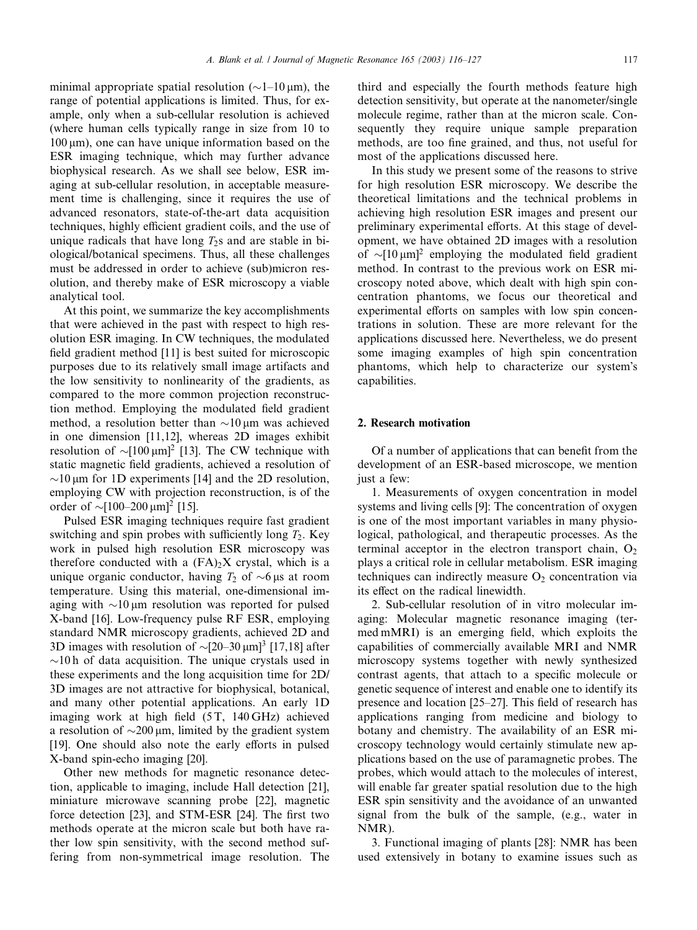minimal appropriate spatial resolution ( $\sim$ 1–10 µm), the range of potential applications is limited. Thus, for example, only when a sub-cellular resolution is achieved (where human cells typically range in size from 10 to  $100 \,\mu m$ ), one can have unique information based on the ESR imaging technique, which may further advance biophysical research. As we shall see below, ESR imaging at sub-cellular resolution, in acceptable measurement time is challenging, since it requires the use of advanced resonators, state-of-the-art data acquisition techniques, highly efficient gradient coils, and the use of unique radicals that have long  $T_2$ s and are stable in biological/botanical specimens. Thus, all these challenges must be addressed in order to achieve (sub)micron resolution, and thereby make of ESR microscopy a viable analytical tool.

At this point, we summarize the key accomplishments that were achieved in the past with respect to high resolution ESR imaging. In CW techniques, the modulated field gradient method [11] is best suited for microscopic purposes due to its relatively small image artifacts and the low sensitivity to nonlinearity of the gradients, as compared to the more common projection reconstruction method. Employing the modulated field gradient method, a resolution better than  $\sim 10 \,\mu m$  was achieved in one dimension [11,12], whereas 2D images exhibit resolution of  $\sim [100 \,\mu m]^2$  [13]. The CW technique with static magnetic field gradients, achieved a resolution of  $\sim$ 10 µm for 1D experiments [14] and the 2D resolution, employing CW with projection reconstruction, is of the order of  $\sim [100-200 \,\mu m]^2$  [15].

Pulsed ESR imaging techniques require fast gradient switching and spin probes with sufficiently long  $T_2$ . Key work in pulsed high resolution ESR microscopy was therefore conducted with a  $(FA)_2X$  crystal, which is a unique organic conductor, having  $T_2$  of  $\sim$ 6 µs at room temperature. Using this material, one-dimensional imaging with  $\sim$ 10 µm resolution was reported for pulsed X-band [16]. Low-frequency pulse RF ESR, employing standard NMR microscopy gradients, achieved 2D and 3D images with resolution of  $\sim$ [20–30  $\mu$ m]<sup>3</sup> [17,18] after  $\sim$ 10 h of data acquisition. The unique crystals used in these experiments and the long acquisition time for 2D/ 3D images are not attractive for biophysical, botanical, and many other potential applications. An early 1D imaging work at high field (5T, 140 GHz) achieved a resolution of  $\sim$ 200  $\mu$ m, limited by the gradient system [19]. One should also note the early efforts in pulsed X-band spin-echo imaging [20].

Other new methods for magnetic resonance detection, applicable to imaging, include Hall detection [21], miniature microwave scanning probe [22], magnetic force detection [23], and STM-ESR [24]. The first two methods operate at the micron scale but both have rather low spin sensitivity, with the second method suffering from non-symmetrical image resolution. The third and especially the fourth methods feature high detection sensitivity, but operate at the nanometer/single molecule regime, rather than at the micron scale. Consequently they require unique sample preparation methods, are too fine grained, and thus, not useful for most of the applications discussed here.

In this study we present some of the reasons to strive for high resolution ESR microscopy. We describe the theoretical limitations and the technical problems in achieving high resolution ESR images and present our preliminary experimental efforts. At this stage of development, we have obtained 2D images with a resolution of  $\sim [10 \,\mu m]^2$  employing the modulated field gradient method. In contrast to the previous work on ESR microscopy noted above, which dealt with high spin concentration phantoms, we focus our theoretical and experimental efforts on samples with low spin concentrations in solution. These are more relevant for the applications discussed here. Nevertheless, we do present some imaging examples of high spin concentration phantoms, which help to characterize our system's capabilities.

# 2. Research motivation

Of a number of applications that can benefit from the development of an ESR-based microscope, we mention just a few:

1. Measurements of oxygen concentration in model systems and living cells [9]: The concentration of oxygen is one of the most important variables in many physiological, pathological, and therapeutic processes. As the terminal acceptor in the electron transport chain,  $O<sub>2</sub>$ plays a critical role in cellular metabolism. ESR imaging techniques can indirectly measure  $O<sub>2</sub>$  concentration via its effect on the radical linewidth.

2. Sub-cellular resolution of in vitro molecular imaging: Molecular magnetic resonance imaging (termed mMRI) is an emerging field, which exploits the capabilities of commercially available MRI and NMR microscopy systems together with newly synthesized contrast agents, that attach to a specific molecule or genetic sequence of interest and enable one to identify its presence and location [25–27]. This field of research has applications ranging from medicine and biology to botany and chemistry. The availability of an ESR microscopy technology would certainly stimulate new applications based on the use of paramagnetic probes. The probes, which would attach to the molecules of interest, will enable far greater spatial resolution due to the high ESR spin sensitivity and the avoidance of an unwanted signal from the bulk of the sample, (e.g., water in NMR).

3. Functional imaging of plants [28]: NMR has been used extensively in botany to examine issues such as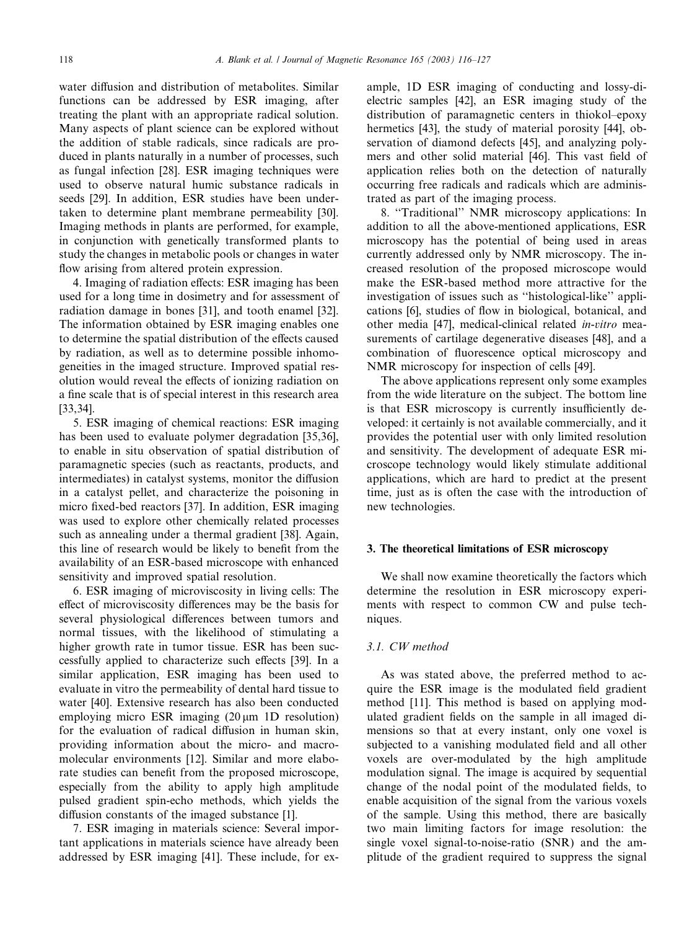water diffusion and distribution of metabolites. Similar functions can be addressed by ESR imaging, after treating the plant with an appropriate radical solution. Many aspects of plant science can be explored without the addition of stable radicals, since radicals are produced in plants naturally in a number of processes, such as fungal infection [28]. ESR imaging techniques were used to observe natural humic substance radicals in seeds [29]. In addition, ESR studies have been undertaken to determine plant membrane permeability [30]. Imaging methods in plants are performed, for example, in conjunction with genetically transformed plants to study the changes in metabolic pools or changes in water flow arising from altered protein expression.

4. Imaging of radiation effects: ESR imaging has been used for a long time in dosimetry and for assessment of radiation damage in bones [31], and tooth enamel [32]. The information obtained by ESR imaging enables one to determine the spatial distribution of the effects caused by radiation, as well as to determine possible inhomogeneities in the imaged structure. Improved spatial resolution would reveal the effects of ionizing radiation on a fine scale that is of special interest in this research area [33,34].

5. ESR imaging of chemical reactions: ESR imaging has been used to evaluate polymer degradation [35,36], to enable in situ observation of spatial distribution of paramagnetic species (such as reactants, products, and intermediates) in catalyst systems, monitor the diffusion in a catalyst pellet, and characterize the poisoning in micro fixed-bed reactors [37]. In addition, ESR imaging was used to explore other chemically related processes such as annealing under a thermal gradient [38]. Again, this line of research would be likely to benefit from the availability of an ESR-based microscope with enhanced sensitivity and improved spatial resolution.

6. ESR imaging of microviscosity in living cells: The effect of microviscosity differences may be the basis for several physiological differences between tumors and normal tissues, with the likelihood of stimulating a higher growth rate in tumor tissue. ESR has been successfully applied to characterize such effects [39]. In a similar application, ESR imaging has been used to evaluate in vitro the permeability of dental hard tissue to water [40]. Extensive research has also been conducted employing micro ESR imaging  $(20 \mu m 1D$  resolution) for the evaluation of radical diffusion in human skin, providing information about the micro- and macromolecular environments [12]. Similar and more elaborate studies can benefit from the proposed microscope, especially from the ability to apply high amplitude pulsed gradient spin-echo methods, which yields the diffusion constants of the imaged substance [1].

7. ESR imaging in materials science: Several important applications in materials science have already been addressed by ESR imaging [41]. These include, for example, 1D ESR imaging of conducting and lossy-dielectric samples [42], an ESR imaging study of the distribution of paramagnetic centers in thiokol–epoxy hermetics [43], the study of material porosity [44], observation of diamond defects [45], and analyzing polymers and other solid material [46]. This vast field of application relies both on the detection of naturally occurring free radicals and radicals which are administrated as part of the imaging process.

8. ''Traditional'' NMR microscopy applications: In addition to all the above-mentioned applications, ESR microscopy has the potential of being used in areas currently addressed only by NMR microscopy. The increased resolution of the proposed microscope would make the ESR-based method more attractive for the investigation of issues such as ''histological-like'' applications [6], studies of flow in biological, botanical, and other media [47], medical-clinical related in-vitro measurements of cartilage degenerative diseases [48], and a combination of fluorescence optical microscopy and NMR microscopy for inspection of cells [49].

The above applications represent only some examples from the wide literature on the subject. The bottom line is that ESR microscopy is currently insufficiently developed: it certainly is not available commercially, and it provides the potential user with only limited resolution and sensitivity. The development of adequate ESR microscope technology would likely stimulate additional applications, which are hard to predict at the present time, just as is often the case with the introduction of new technologies.

## 3. The theoretical limitations of ESR microscopy

We shall now examine theoretically the factors which determine the resolution in ESR microscopy experiments with respect to common CW and pulse techniques.

#### 3.1. CW method

As was stated above, the preferred method to acquire the ESR image is the modulated field gradient method [11]. This method is based on applying modulated gradient fields on the sample in all imaged dimensions so that at every instant, only one voxel is subjected to a vanishing modulated field and all other voxels are over-modulated by the high amplitude modulation signal. The image is acquired by sequential change of the nodal point of the modulated fields, to enable acquisition of the signal from the various voxels of the sample. Using this method, there are basically two main limiting factors for image resolution: the single voxel signal-to-noise-ratio (SNR) and the amplitude of the gradient required to suppress the signal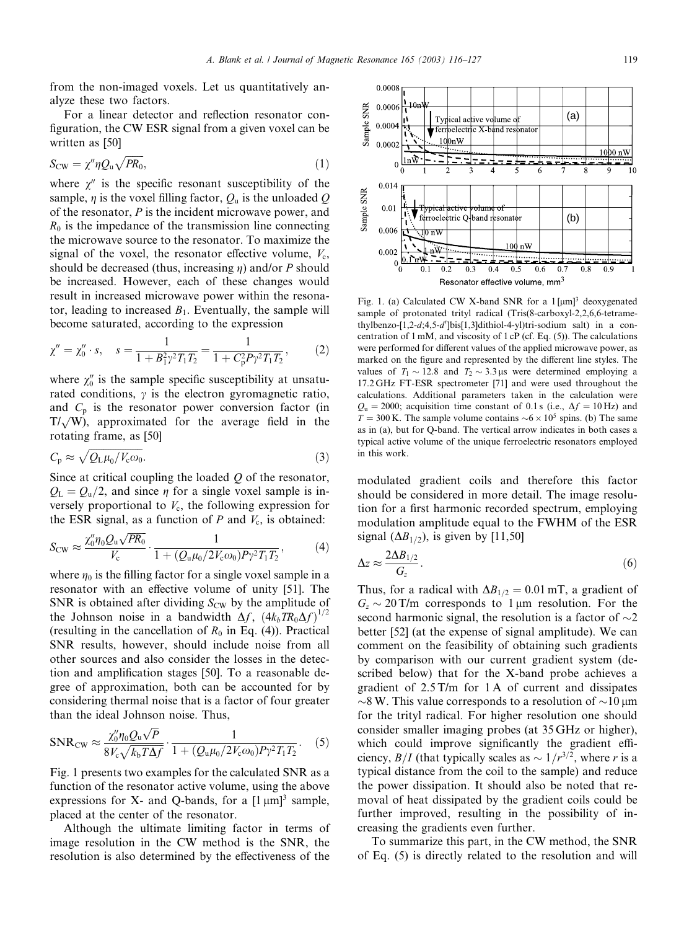from the non-imaged voxels. Let us quantitatively analyze these two factors.

For a linear detector and reflection resonator configuration, the CW ESR signal from a given voxel can be written as [50]

$$
S_{\rm CW} = \chi'' \eta Q_{\rm u} \sqrt{PR_0},\tag{1}
$$

where  $\chi''$  is the specific resonant susceptibility of the sample,  $\eta$  is the voxel filling factor,  $Q_{\rm u}$  is the unloaded Q of the resonator, P is the incident microwave power, and  $R_0$  is the impedance of the transmission line connecting the microwave source to the resonator. To maximize the signal of the voxel, the resonator effective volume,  $V_c$ , should be decreased (thus, increasing  $\eta$ ) and/or P should be increased. However, each of these changes would result in increased microwave power within the resonator, leading to increased  $B_1$ . Eventually, the sample will become saturated, according to the expression

$$
\chi'' = \chi_0'' \cdot s, \quad s = \frac{1}{1 + B_1^2 \gamma^2 T_1 T_2} = \frac{1}{1 + C_p^2 P \gamma^2 T_1 T_2},\tag{2}
$$

where  $\chi_0''$  is the sample specific susceptibility at unsaturated conditions,  $\gamma$  is the electron gyromagnetic ratio, and  $C_p$  is the resonator power conversion factor (in  $T/\sqrt{W}$ ), approximated for the average field in the rotating frame, as [50]

$$
C_{\rm p} \approx \sqrt{Q_{\rm L} \mu_0 / V_{\rm c} \omega_0}.
$$
 (3)

Since at critical coupling the loaded  $O$  of the resonator,  $Q_{\text{L}} = Q_{\text{u}}/2$ , and since  $\eta$  for a single voxel sample is inversely proportional to  $V_c$ , the following expression for the ESR signal, as a function of  $P$  and  $V_c$ , is obtained:

$$
S_{\rm CW} \approx \frac{\chi_0'' \eta_0 Q_{\rm u} \sqrt{PR_0}}{V_{\rm c}} \cdot \frac{1}{1 + (Q_{\rm u} \mu_0 / 2V_{\rm c} \omega_0) P \gamma^2 T_1 T_2},\tag{4}
$$

where  $\eta_0$  is the filling factor for a single voxel sample in a resonator with an effective volume of unity [51]. The SNR is obtained after dividing  $S_{\text{CW}}$  by the amplitude of the Johnson noise in a bandwidth  $\Delta f$ ,  $\left(4k_bTR_0\Delta f\right)^{1/2}$ (resulting in the cancellation of  $R_0$  in Eq. (4)). Practical SNR results, however, should include noise from all other sources and also consider the losses in the detection and amplification stages [50]. To a reasonable degree of approximation, both can be accounted for by considering thermal noise that is a factor of four greater than the ideal Johnson noise. Thus,

$$
SNR_{CW} \approx \frac{\chi_0'' \eta_0 Q_u \sqrt{P}}{8V_c \sqrt{k_b T \Delta f}} \cdot \frac{1}{1 + (Q_u \mu_0 / 2V_c \omega_0) P \gamma^2 T_1 T_2}.
$$
 (5)

Fig. 1 presents two examples for the calculated SNR as a function of the resonator active volume, using the above expressions for X- and Q-bands, for a  $[1 \mu m]^3$  sample, placed at the center of the resonator.

Although the ultimate limiting factor in terms of image resolution in the CW method is the SNR, the resolution is also determined by the effectiveness of the



Fig. 1. (a) Calculated CW X-band SNR for a  $1 \,[\mu m]^3$  deoxygenated sample of protonated trityl radical (Tris(8-carboxyl-2,2,6,6-tetramethylbenzo-[1,2-d;4,5-d']bis[1,3]dithiol-4-yl)tri-sodium salt) in a concentration of  $1 \text{ mM}$ , and viscosity of  $1 \text{ cP}$  (cf. Eq. (5)). The calculations were performed for different values of the applied microwave power, as marked on the figure and represented by the different line styles. The values of  $T_1 \sim 12.8$  and  $T_2 \sim 3.3 \,\mu s$  were determined employing a 17.2 GHz FT-ESR spectrometer [71] and were used throughout the calculations. Additional parameters taken in the calculation were  $Q_{\rm u}$  = 2000; acquisition time constant of 0.1 s (i.e.,  $\Delta f = 10$  Hz) and  $T = 300$  K. The sample volume contains  $\sim 6 \times 10^5$  spins. (b) The same as in (a), but for Q-band. The vertical arrow indicates in both cases a typical active volume of the unique ferroelectric resonators employed in this work.

modulated gradient coils and therefore this factor should be considered in more detail. The image resolution for a first harmonic recorded spectrum, employing modulation amplitude equal to the FWHM of the ESR signal  $(\Delta B_{1/2})$ , is given by [11,50]

$$
\Delta z \approx \frac{2\Delta B_{1/2}}{G_z}.\tag{6}
$$

Thus, for a radical with  $\Delta B_{1/2}=0.01$  mT, a gradient of  $G<sub>z</sub> \sim 20$  T/m corresponds to 1 µm resolution. For the second harmonic signal, the resolution is a factor of  $\sim$ 2 better [52] (at the expense of signal amplitude). We can comment on the feasibility of obtaining such gradients by comparison with our current gradient system (described below) that for the X-band probe achieves a gradient of 2.5 T/m for 1 A of current and dissipates  $\sim$ 8 W. This value corresponds to a resolution of  $\sim$ 10 µm for the trityl radical. For higher resolution one should consider smaller imaging probes (at 35 GHz or higher), which could improve significantly the gradient efficiency,  $B/I$  (that typically scales as  $\sim 1/r^{3/2}$ , where r is a typical distance from the coil to the sample) and reduce the power dissipation. It should also be noted that removal of heat dissipated by the gradient coils could be further improved, resulting in the possibility of increasing the gradients even further.

To summarize this part, in the CW method, the SNR of Eq. (5) is directly related to the resolution and will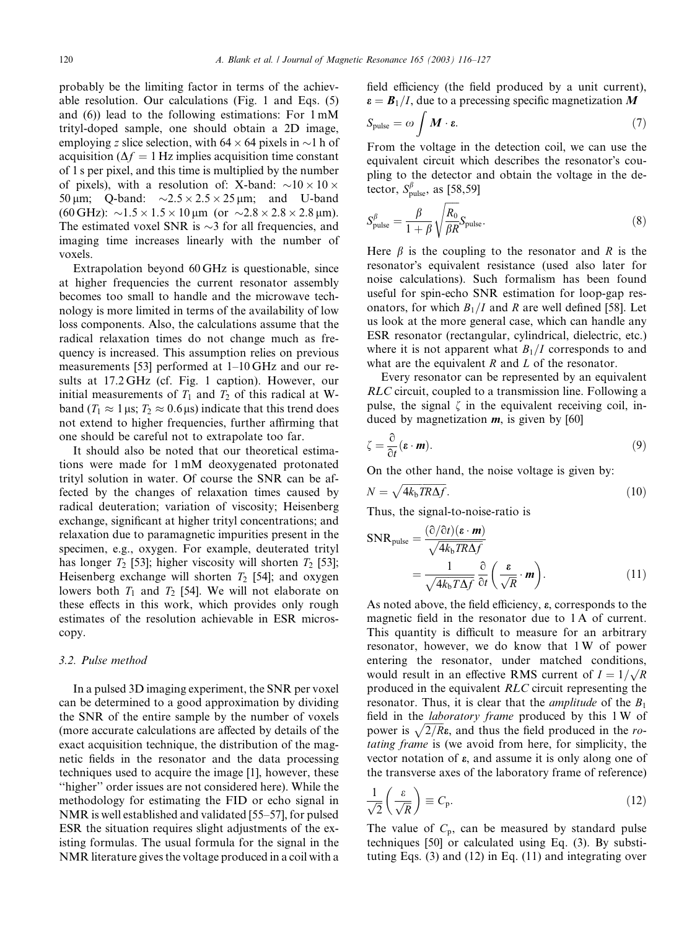probably be the limiting factor in terms of the achievable resolution. Our calculations (Fig. 1 and Eqs. (5) and (6)) lead to the following estimations: For 1 mM trityl-doped sample, one should obtain a 2D image, employing z slice selection, with  $64 \times 64$  pixels in  $\sim$ 1 h of acquisition ( $\Delta f = 1$  Hz implies acquisition time constant of 1 s per pixel, and this time is multiplied by the number of pixels), with a resolution of: X-band:  $\sim 10 \times 10 \times$ 50  $\mu$ m; Q-band:  $\sim$ 2.5  $\times$  2.5  $\times$  25  $\mu$ m; and U-band  $(60 \text{ GHz}): \sim 1.5 \times 1.5 \times 10 \,\mu\text{m}$  (or  $\sim 2.8 \times 2.8 \times 2.8 \,\mu\text{m}$ ). The estimated voxel SNR is  $\sim$ 3 for all frequencies, and imaging time increases linearly with the number of voxels.

Extrapolation beyond 60 GHz is questionable, since at higher frequencies the current resonator assembly becomes too small to handle and the microwave technology is more limited in terms of the availability of low loss components. Also, the calculations assume that the radical relaxation times do not change much as frequency is increased. This assumption relies on previous measurements [53] performed at 1–10 GHz and our results at 17.2 GHz (cf. Fig. 1 caption). However, our initial measurements of  $T_1$  and  $T_2$  of this radical at Wband  $(T_1 \approx 1 \,\mu s; T_2 \approx 0.6 \,\mu s)$  indicate that this trend does not extend to higher frequencies, further affirming that one should be careful not to extrapolate too far.

It should also be noted that our theoretical estimations were made for 1 mM deoxygenated protonated trityl solution in water. Of course the SNR can be affected by the changes of relaxation times caused by radical deuteration; variation of viscosity; Heisenberg exchange, significant at higher trityl concentrations; and relaxation due to paramagnetic impurities present in the specimen, e.g., oxygen. For example, deuterated trityl has longer  $T_2$  [53]; higher viscosity will shorten  $T_2$  [53]; Heisenberg exchange will shorten  $T_2$  [54]; and oxygen lowers both  $T_1$  and  $T_2$  [54]. We will not elaborate on these effects in this work, which provides only rough estimates of the resolution achievable in ESR microscopy.

# 3.2. Pulse method

In a pulsed 3D imaging experiment, the SNR per voxel can be determined to a good approximation by dividing the SNR of the entire sample by the number of voxels (more accurate calculations are affected by details of the exact acquisition technique, the distribution of the magnetic fields in the resonator and the data processing techniques used to acquire the image [1], however, these ''higher'' order issues are not considered here). While the methodology for estimating the FID or echo signal in NMR is well established and validated [55–57], for pulsed ESR the situation requires slight adjustments of the existing formulas. The usual formula for the signal in the NMR literature gives the voltage produced in a coil with a field efficiency (the field produced by a unit current),  $\boldsymbol{\varepsilon} = \boldsymbol{B}_1/I$ , due to a precessing specific magnetization M

$$
S_{\text{pulse}} = \omega \int \boldsymbol{M} \cdot \boldsymbol{\epsilon}.\tag{7}
$$

From the voltage in the detection coil, we can use the equivalent circuit which describes the resonator's coupling to the detector and obtain the voltage in the detector,  $S_{\text{pulse}}^{\beta}$ , as [58,59]

$$
S_{\text{pulse}}^{\beta} = \frac{\beta}{1+\beta} \sqrt{\frac{R_0}{\beta R}} S_{\text{pulse}}.
$$
\n(8)

Here  $\beta$  is the coupling to the resonator and R is the resonator's equivalent resistance (used also later for noise calculations). Such formalism has been found useful for spin-echo SNR estimation for loop-gap resonators, for which  $B_1/I$  and R are well defined [58]. Let us look at the more general case, which can handle any ESR resonator (rectangular, cylindrical, dielectric, etc.) where it is not apparent what  $B_1/I$  corresponds to and what are the equivalent  $R$  and  $L$  of the resonator.

Every resonator can be represented by an equivalent RLC circuit, coupled to a transmission line. Following a pulse, the signal  $\zeta$  in the equivalent receiving coil, induced by magnetization  $m$ , is given by [60]

$$
\zeta = \frac{\partial}{\partial t} (\mathbf{\varepsilon} \cdot \mathbf{m}). \tag{9}
$$

On the other hand, the noise voltage is given by:

$$
N = \sqrt{4k_b TR\Delta f}.\tag{10}
$$

Thus, the signal-to-noise-ratio is

$$
SNR_{pulse} = \frac{(\partial/\partial t)(\boldsymbol{\epsilon} \cdot \boldsymbol{m})}{\sqrt{4k_b TR\Delta f}}
$$
  
= 
$$
\frac{1}{\sqrt{4k_b T\Delta f}} \frac{\partial}{\partial t} \left(\frac{\boldsymbol{\epsilon}}{\sqrt{R}} \cdot \boldsymbol{m}\right).
$$
 (11)

As noted above, the field efficiency,  $\varepsilon$ , corresponds to the magnetic field in the resonator due to 1 A of current. This quantity is difficult to measure for an arbitrary resonator, however, we do know that 1 W of power entering the resonator, under matched conditions, would result in an effective RMS current of  $I = 1/\sqrt{R}$ produced in the equivalent RLC circuit representing the resonator. Thus, it is clear that the *amplitude* of the  $B_1$ field in the laboratory frame produced by this 1 W of power is  $\sqrt{2/R}$ , and thus the field produced in the rotating frame is (we avoid from here, for simplicity, the vector notation of  $\varepsilon$ , and assume it is only along one of the transverse axes of the laboratory frame of reference)

$$
\frac{1}{\sqrt{2}} \left( \frac{\varepsilon}{\sqrt{R}} \right) \equiv C_{\text{p}}.\tag{12}
$$

The value of  $C_p$ , can be measured by standard pulse techniques [50] or calculated using Eq. (3). By substituting Eqs. (3) and (12) in Eq. (11) and integrating over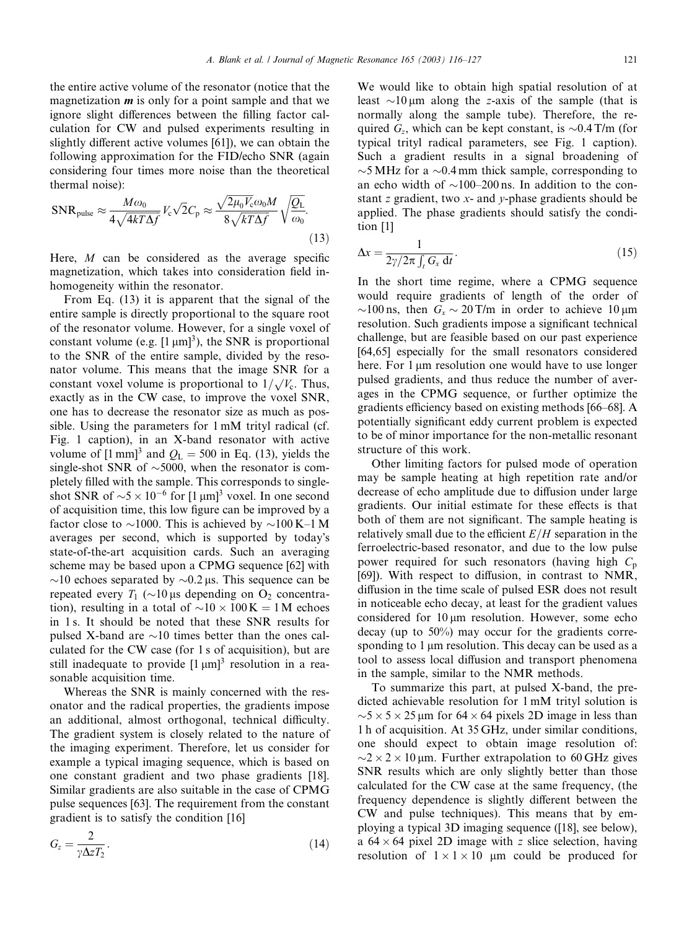the entire active volume of the resonator (notice that the magnetization  $\boldsymbol{m}$  is only for a point sample and that we ignore slight differences between the filling factor calculation for CW and pulsed experiments resulting in slightly different active volumes [61]), we can obtain the following approximation for the FID/echo SNR (again considering four times more noise than the theoretical thermal noise):

$$
\text{SNR}_{\text{pulse}} \approx \frac{M\omega_0}{4\sqrt{4kT\Delta f}} V_c \sqrt{2} C_{\text{p}} \approx \frac{\sqrt{2\mu_0 V_c \omega_0 M}}{8\sqrt{kT\Delta f}} \sqrt{\frac{Q_{\text{L}}}{\omega_0}}.
$$
\n(13)

Here,  $M$  can be considered as the average specific magnetization, which takes into consideration field inhomogeneity within the resonator.

From Eq. (13) it is apparent that the signal of the entire sample is directly proportional to the square root of the resonator volume. However, for a single voxel of constant volume (e.g.  $[1 \mu m]^3$ ), the SNR is proportional to the SNR of the entire sample, divided by the resonator volume. This means that the image SNR for a mator volume. This means that the lingge SNK for a constant voxel volume is proportional to  $1/\sqrt{V_c}$ . Thus, exactly as in the CW case, to improve the voxel SNR, one has to decrease the resonator size as much as possible. Using the parameters for 1 mM trityl radical (cf. Fig. 1 caption), in an X-band resonator with active volume of  $[1 \text{ mm}]^3$  and  $Q_L = 500$  in Eq. (13), yields the single-shot SNR of  $\sim$ 5000, when the resonator is completely filled with the sample. This corresponds to singleshot SNR of  $\sim$ 5  $\times$  10<sup>-6</sup> for [1 µm]<sup>3</sup> voxel. In one second of acquisition time, this low figure can be improved by a factor close to  $\sim$ 1000. This is achieved by  $\sim$ 100 K–1 M averages per second, which is supported by today's state-of-the-art acquisition cards. Such an averaging scheme may be based upon a CPMG sequence [62] with  $\sim$ 10 echoes separated by  $\sim$ 0.2 µs. This sequence can be repeated every  $T_1$  ( $\sim$ 10 µs depending on O<sub>2</sub> concentration), resulting in a total of  $\sim 10 \times 100 \,\mathrm{K} = 1 \,\mathrm{M}$  echoes in 1 s. It should be noted that these SNR results for pulsed X-band are  $\sim$ 10 times better than the ones calculated for the CW case (for 1 s of acquisition), but are still inadequate to provide  $[1 \mu m]^3$  resolution in a reasonable acquisition time.

Whereas the SNR is mainly concerned with the resonator and the radical properties, the gradients impose an additional, almost orthogonal, technical difficulty. The gradient system is closely related to the nature of the imaging experiment. Therefore, let us consider for example a typical imaging sequence, which is based on one constant gradient and two phase gradients [18]. Similar gradients are also suitable in the case of CPMG pulse sequences [63]. The requirement from the constant gradient is to satisfy the condition [16]

$$
G_z = \frac{2}{\gamma \Delta z T_2}.
$$
\n(14)

We would like to obtain high spatial resolution of at least  $\sim$ 10  $\mu$ m along the z-axis of the sample (that is normally along the sample tube). Therefore, the required  $G_z$ , which can be kept constant, is  $\sim 0.4$  T/m (for typical trityl radical parameters, see Fig. 1 caption). Such a gradient results in a signal broadening of  $\sim$ 5 MHz for a  $\sim$ 0.4 mm thick sample, corresponding to an echo width of  $\sim$ 100–200 ns. In addition to the constant z gradient, two  $x$ - and  $y$ -phase gradients should be applied. The phase gradients should satisfy the condition [1]

$$
\Delta x = \frac{1}{2\gamma/2\pi \int_t G_x \, \mathrm{d}t} \,. \tag{15}
$$

In the short time regime, where a CPMG sequence would require gradients of length of the order of  $\sim$ 100 ns, then  $G_x \sim 20$  T/m in order to achieve 10  $\mu$ m resolution. Such gradients impose a significant technical challenge, but are feasible based on our past experience [64,65] especially for the small resonators considered here. For 1  $\mu$ m resolution one would have to use longer pulsed gradients, and thus reduce the number of averages in the CPMG sequence, or further optimize the gradients efficiency based on existing methods [66–68]. A potentially significant eddy current problem is expected to be of minor importance for the non-metallic resonant structure of this work.

Other limiting factors for pulsed mode of operation may be sample heating at high repetition rate and/or decrease of echo amplitude due to diffusion under large gradients. Our initial estimate for these effects is that both of them are not significant. The sample heating is relatively small due to the efficient  $E/H$  separation in the ferroelectric-based resonator, and due to the low pulse power required for such resonators (having high  $C_p$ ) [69]). With respect to diffusion, in contrast to NMR, diffusion in the time scale of pulsed ESR does not result in noticeable echo decay, at least for the gradient values considered for  $10 \mu m$  resolution. However, some echo decay (up to 50%) may occur for the gradients corresponding to 1 µm resolution. This decay can be used as a tool to assess local diffusion and transport phenomena in the sample, similar to the NMR methods.

To summarize this part, at pulsed X-band, the predicted achievable resolution for 1 mM trityl solution is  $\sim$ 5  $\times$  5  $\times$  25 µm for 64  $\times$  64 pixels 2D image in less than 1 h of acquisition. At 35 GHz, under similar conditions, one should expect to obtain image resolution of:  $\sim$ 2  $\times$  2  $\times$  10 µm. Further extrapolation to 60 GHz gives SNR results which are only slightly better than those calculated for the CW case at the same frequency, (the frequency dependence is slightly different between the CW and pulse techniques). This means that by employing a typical 3D imaging sequence ([18], see below), a  $64 \times 64$  pixel 2D image with z slice selection, having resolution of  $1 \times 1 \times 10$  µm could be produced for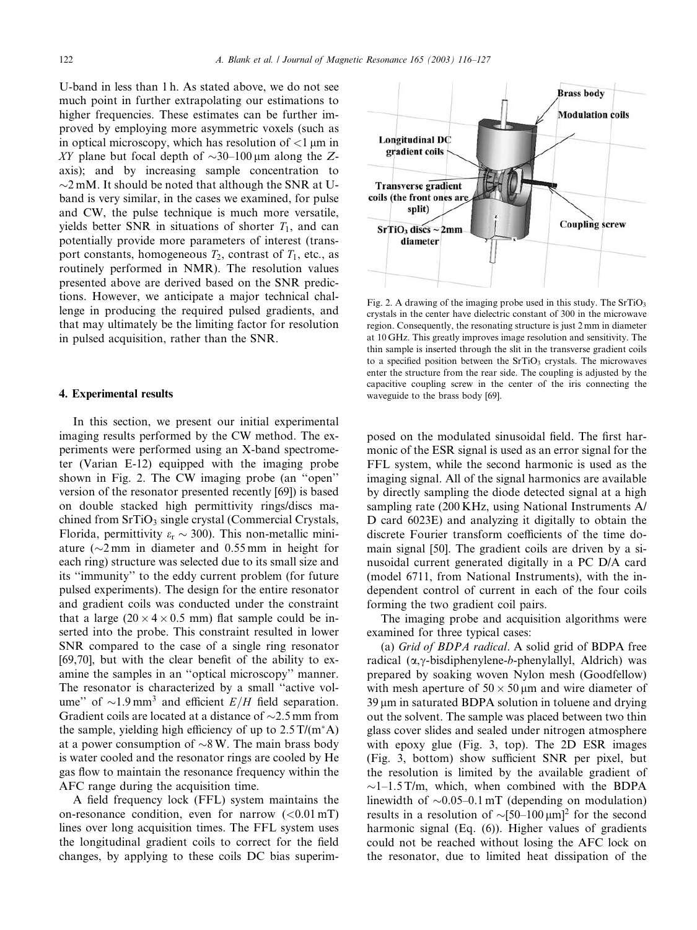U-band in less than 1 h. As stated above, we do not see much point in further extrapolating our estimations to higher frequencies. These estimates can be further improved by employing more asymmetric voxels (such as in optical microscopy, which has resolution of  $\langle 1 \rangle$  um in XY plane but focal depth of  $\sim$ 30–100 µm along the Zaxis); and by increasing sample concentration to  $\sim$ 2 mM. It should be noted that although the SNR at Uband is very similar, in the cases we examined, for pulse and CW, the pulse technique is much more versatile, yields better SNR in situations of shorter  $T_1$ , and can potentially provide more parameters of interest (transport constants, homogeneous  $T_2$ , contrast of  $T_1$ , etc., as routinely performed in NMR). The resolution values presented above are derived based on the SNR predictions. However, we anticipate a major technical challenge in producing the required pulsed gradients, and that may ultimately be the limiting factor for resolution in pulsed acquisition, rather than the SNR.

#### 4. Experimental results

In this section, we present our initial experimental imaging results performed by the CW method. The experiments were performed using an X-band spectrometer (Varian E-12) equipped with the imaging probe shown in Fig. 2. The CW imaging probe (an ''open'' version of the resonator presented recently [69]) is based on double stacked high permittivity rings/discs machined from  $SrTiO<sub>3</sub>$  single crystal (Commercial Crystals, Florida, permittivity  $\varepsilon_r \sim 300$ ). This non-metallic miniature ( $\sim$ 2 mm in diameter and 0.55 mm in height for each ring) structure was selected due to its small size and its ''immunity'' to the eddy current problem (for future pulsed experiments). The design for the entire resonator and gradient coils was conducted under the constraint that a large  $(20 \times 4 \times 0.5 \text{ mm})$  flat sample could be inserted into the probe. This constraint resulted in lower SNR compared to the case of a single ring resonator [69,70], but with the clear benefit of the ability to examine the samples in an ''optical microscopy'' manner. The resonator is characterized by a small ''active volume" of  $\sim$ 1.9 mm<sup>3</sup> and efficient  $E/H$  field separation. Gradient coils are located at a distance of  $\sim$ 2.5 mm from the sample, yielding high efficiency of up to  $2.5 \text{ T/(m<sup>*</sup> A)}$ at a power consumption of  $\sim 8$  W. The main brass body is water cooled and the resonator rings are cooled by He gas flow to maintain the resonance frequency within the AFC range during the acquisition time.

A field frequency lock (FFL) system maintains the on-resonance condition, even for narrow  $(<0.01$  mT) lines over long acquisition times. The FFL system uses the longitudinal gradient coils to correct for the field changes, by applying to these coils DC bias superim-



Fig. 2. A drawing of the imaging probe used in this study. The  $SrTiO<sub>3</sub>$ crystals in the center have dielectric constant of 300 in the microwave region. Consequently, the resonating structure is just 2 mm in diameter at 10 GHz. This greatly improves image resolution and sensitivity. The thin sample is inserted through the slit in the transverse gradient coils to a specified position between the SrTiO<sub>3</sub> crystals. The microwaves enter the structure from the rear side. The coupling is adjusted by the capacitive coupling screw in the center of the iris connecting the waveguide to the brass body [69].

posed on the modulated sinusoidal field. The first harmonic of the ESR signal is used as an error signal for the FFL system, while the second harmonic is used as the imaging signal. All of the signal harmonics are available by directly sampling the diode detected signal at a high sampling rate (200 KHz, using National Instruments A/ D card 6023E) and analyzing it digitally to obtain the discrete Fourier transform coefficients of the time domain signal [50]. The gradient coils are driven by a sinusoidal current generated digitally in a PC D/A card (model 6711, from National Instruments), with the independent control of current in each of the four coils forming the two gradient coil pairs.

The imaging probe and acquisition algorithms were examined for three typical cases:

(a) Grid of BDPA radical. A solid grid of BDPA free radical  $(\alpha, \gamma$ -bisdiphenylene-b-phenylallyl, Aldrich) was prepared by soaking woven Nylon mesh (Goodfellow) with mesh aperture of  $50 \times 50 \mu m$  and wire diameter of 39 um in saturated BDPA solution in toluene and drying out the solvent. The sample was placed between two thin glass cover slides and sealed under nitrogen atmosphere with epoxy glue (Fig. 3, top). The 2D ESR images (Fig. 3, bottom) show sufficient SNR per pixel, but the resolution is limited by the available gradient of  $\sim$ 1–1.5 T/m, which, when combined with the BDPA linewidth of  $\sim 0.05 - 0.1$  mT (depending on modulation) results in a resolution of  $\sim [50-100 \,\mu m]^2$  for the second harmonic signal (Eq. (6)). Higher values of gradients could not be reached without losing the AFC lock on the resonator, due to limited heat dissipation of the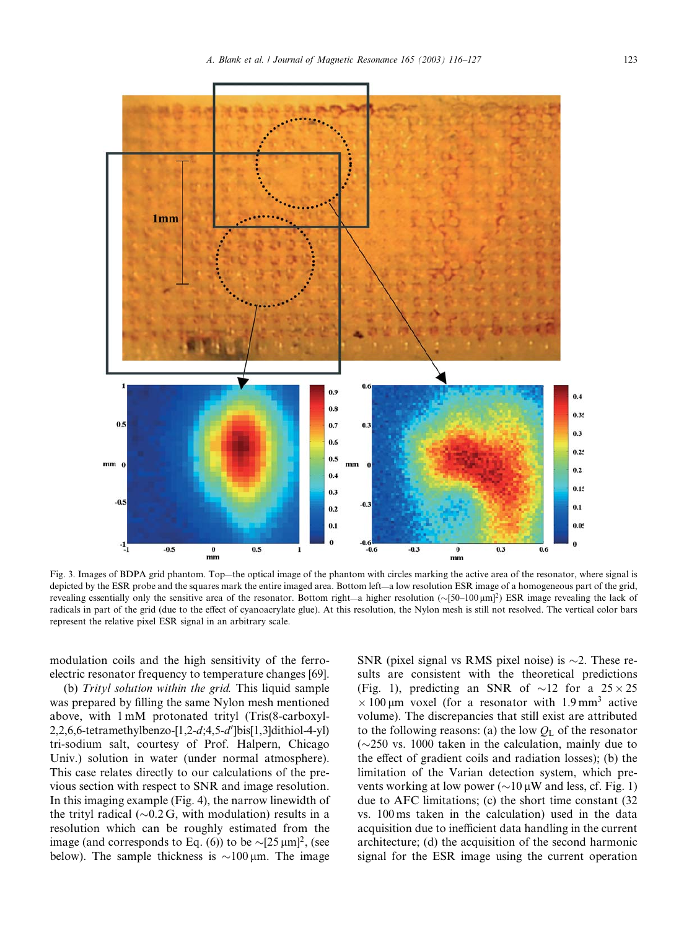

Fig. 3. Images of BDPA grid phantom. Top—the optical image of the phantom with circles marking the active area of the resonator, where signal is depicted by the ESR probe and the squares mark the entire imaged area. Bottom left—a low resolution ESR image of a homogeneous part of the grid, revealing essentially only the sensitive area of the resonator. Bottom right—a higher resolution  $(\sim [50-100 \,\mu m]^2)$  ESR image revealing the lack of radicals in part of the grid (due to the effect of cyanoacrylate glue). At this resolution, the Nylon mesh is still not resolved. The vertical color bars represent the relative pixel ESR signal in an arbitrary scale.

modulation coils and the high sensitivity of the ferroelectric resonator frequency to temperature changes [69].

(b) Trityl solution within the grid. This liquid sample was prepared by filling the same Nylon mesh mentioned above, with 1 mM protonated trityl (Tris(8-carboxyl-2,2,6,6-tetramethylbenzo-[1,2-d;4,5-d']bis[1,3]dithiol-4-yl) tri-sodium salt, courtesy of Prof. Halpern, Chicago Univ.) solution in water (under normal atmosphere). This case relates directly to our calculations of the previous section with respect to SNR and image resolution. In this imaging example (Fig. 4), the narrow linewidth of the trityl radical  $(\sim 0.2 \text{ G}, \text{ with modulation})$  results in a resolution which can be roughly estimated from the image (and corresponds to Eq. (6)) to be  $\sim [25 \,\mu m]^2$ , (see below). The sample thickness is  $\sim$ 100  $\mu$ m. The image

SNR (pixel signal vs RMS pixel noise) is  $\sim$ 2. These results are consistent with the theoretical predictions (Fig. 1), predicting an SNR of  $\sim$ 12 for a 25  $\times$  25  $\times$  100 µm voxel (for a resonator with 1.9 mm<sup>3</sup> active volume). The discrepancies that still exist are attributed to the following reasons: (a) the low  $Q<sub>L</sub>$  of the resonator  $(\sim 250 \text{ vs. } 1000 \text{ taken in the calculation, mainly due to }$ the effect of gradient coils and radiation losses); (b) the limitation of the Varian detection system, which prevents working at low power ( $\sim$ 10  $\mu$ W and less, cf. Fig. 1) due to AFC limitations; (c) the short time constant (32 vs. 100 ms taken in the calculation) used in the data acquisition due to inefficient data handling in the current architecture; (d) the acquisition of the second harmonic signal for the ESR image using the current operation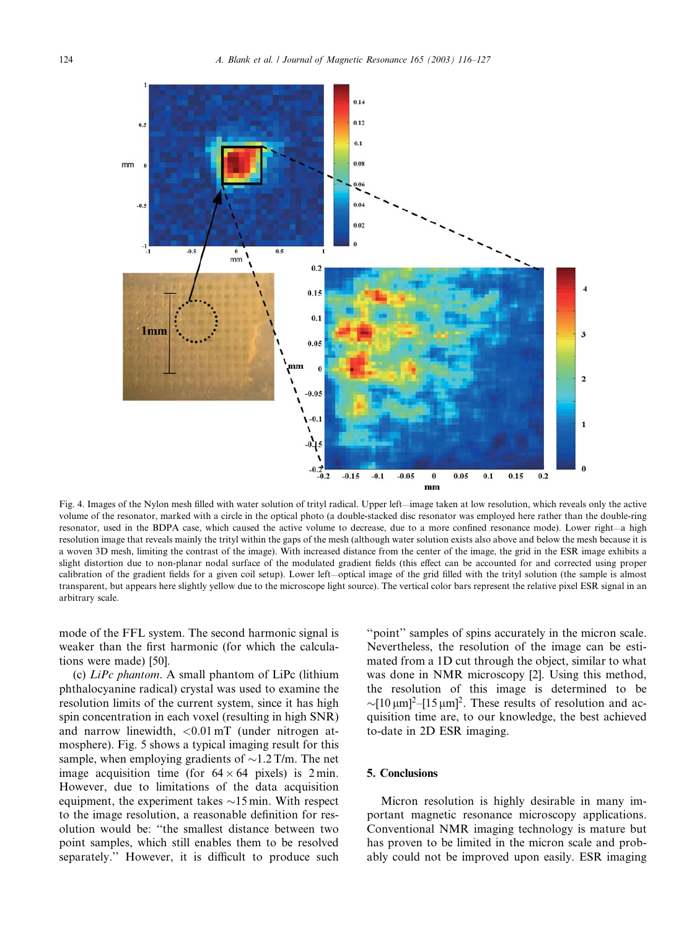

Fig. 4. Images of the Nylon mesh filled with water solution of trityl radical. Upper left—image taken at low resolution, which reveals only the active volume of the resonator, marked with a circle in the optical photo (a double-stacked disc resonator was employed here rather than the double-ring resonator, used in the BDPA case, which caused the active volume to decrease, due to a more confined resonance mode). Lower right—a high resolution image that reveals mainly the trityl within the gaps of the mesh (although water solution exists also above and below the mesh because it is a woven 3D mesh, limiting the contrast of the image). With increased distance from the center of the image, the grid in the ESR image exhibits a slight distortion due to non-planar nodal surface of the modulated gradient fields (this effect can be accounted for and corrected using proper calibration of the gradient fields for a given coil setup). Lower left—optical image of the grid filled with the trityl solution (the sample is almost transparent, but appears here slightly yellow due to the microscope light source). The vertical color bars represent the relative pixel ESR signal in an arbitrary scale.

mode of the FFL system. The second harmonic signal is weaker than the first harmonic (for which the calculations were made) [50].

(c)  $LiPc$  phantom. A small phantom of  $LiPc$  (lithium phthalocyanine radical) crystal was used to examine the resolution limits of the current system, since it has high spin concentration in each voxel (resulting in high SNR) and narrow linewidth,  $\langle 0.01 \text{ mT}$  (under nitrogen atmosphere). Fig. 5 shows a typical imaging result for this sample, when employing gradients of  $\sim$ 1.2 T/m. The net image acquisition time (for  $64 \times 64$  pixels) is 2 min. However, due to limitations of the data acquisition equipment, the experiment takes  $\sim$ 15 min. With respect to the image resolution, a reasonable definition for resolution would be: ''the smallest distance between two point samples, which still enables them to be resolved separately.'' However, it is difficult to produce such ''point'' samples of spins accurately in the micron scale. Nevertheless, the resolution of the image can be estimated from a 1D cut through the object, similar to what was done in NMR microscopy [2]. Using this method, the resolution of this image is determined to be  $\sim [10 \,\mu m]^2 - [15 \,\mu m]^2$ . These results of resolution and acquisition time are, to our knowledge, the best achieved to-date in 2D ESR imaging.

# 5. Conclusions

Micron resolution is highly desirable in many important magnetic resonance microscopy applications. Conventional NMR imaging technology is mature but has proven to be limited in the micron scale and probably could not be improved upon easily. ESR imaging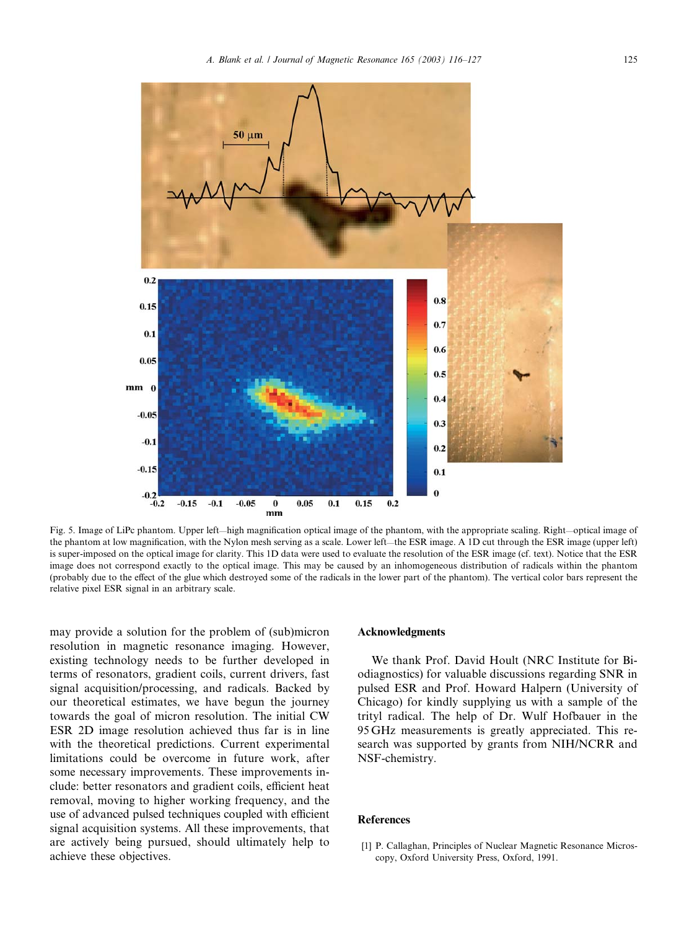

Fig. 5. Image of LiPc phantom. Upper left—high magnification optical image of the phantom, with the appropriate scaling. Right—optical image of the phantom at low magnification, with the Nylon mesh serving as a scale. Lower left—the ESR image. A 1D cut through the ESR image (upper left) is super-imposed on the optical image for clarity. This 1D data were used to evaluate the resolution of the ESR image (cf. text). Notice that the ESR image does not correspond exactly to the optical image. This may be caused by an inhomogeneous distribution of radicals within the phantom (probably due to the effect of the glue which destroyed some of the radicals in the lower part of the phantom). The vertical color bars represent the relative pixel ESR signal in an arbitrary scale.

may provide a solution for the problem of (sub)micron resolution in magnetic resonance imaging. However, existing technology needs to be further developed in terms of resonators, gradient coils, current drivers, fast signal acquisition/processing, and radicals. Backed by our theoretical estimates, we have begun the journey towards the goal of micron resolution. The initial CW ESR 2D image resolution achieved thus far is in line with the theoretical predictions. Current experimental limitations could be overcome in future work, after some necessary improvements. These improvements include: better resonators and gradient coils, efficient heat removal, moving to higher working frequency, and the use of advanced pulsed techniques coupled with efficient signal acquisition systems. All these improvements, that are actively being pursued, should ultimately help to achieve these objectives.

#### Acknowledgments

We thank Prof. David Hoult (NRC Institute for Biodiagnostics) for valuable discussions regarding SNR in pulsed ESR and Prof. Howard Halpern (University of Chicago) for kindly supplying us with a sample of the trityl radical. The help of Dr. Wulf Hofbauer in the 95 GHz measurements is greatly appreciated. This research was supported by grants from NIH/NCRR and NSF-chemistry.

#### References

[1] P. Callaghan, Principles of Nuclear Magnetic Resonance Microscopy, Oxford University Press, Oxford, 1991.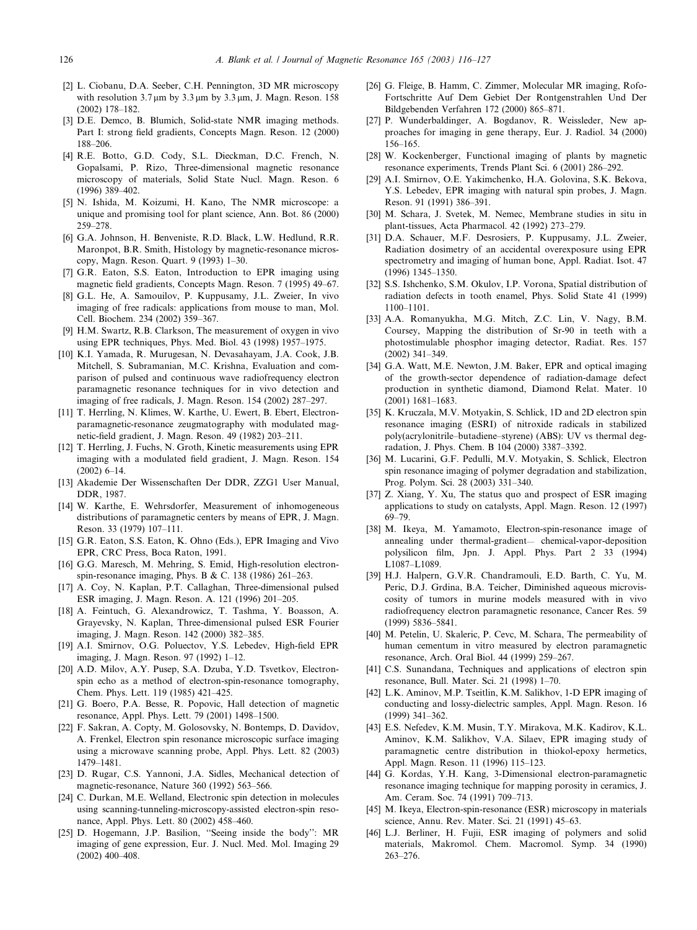- [2] L. Ciobanu, D.A. Seeber, C.H. Pennington, 3D MR microscopy with resolution  $3.7 \mu m$  by  $3.3 \mu m$  by  $3.3 \mu m$ , J. Magn. Reson. 158 (2002) 178–182.
- [3] D.E. Demco, B. Blumich, Solid-state NMR imaging methods. Part I: strong field gradients, Concepts Magn. Reson. 12 (2000) 188–206.
- [4] R.E. Botto, G.D. Cody, S.L. Dieckman, D.C. French, N. Gopalsami, P. Rizo, Three-dimensional magnetic resonance microscopy of materials, Solid State Nucl. Magn. Reson. 6 (1996) 389–402.
- [5] N. Ishida, M. Koizumi, H. Kano, The NMR microscope: a unique and promising tool for plant science, Ann. Bot. 86 (2000) 259–278.
- [6] G.A. Johnson, H. Benveniste, R.D. Black, L.W. Hedlund, R.R. Maronpot, B.R. Smith, Histology by magnetic-resonance microscopy, Magn. Reson. Quart. 9 (1993) 1–30.
- [7] G.R. Eaton, S.S. Eaton, Introduction to EPR imaging using magnetic field gradients, Concepts Magn. Reson. 7 (1995) 49–67.
- [8] G.L. He, A. Samouilov, P. Kuppusamy, J.L. Zweier, In vivo imaging of free radicals: applications from mouse to man, Mol. Cell. Biochem. 234 (2002) 359–367.
- [9] H.M. Swartz, R.B. Clarkson, The measurement of oxygen in vivo using EPR techniques, Phys. Med. Biol. 43 (1998) 1957–1975.
- [10] K.I. Yamada, R. Murugesan, N. Devasahayam, J.A. Cook, J.B. Mitchell, S. Subramanian, M.C. Krishna, Evaluation and comparison of pulsed and continuous wave radiofrequency electron paramagnetic resonance techniques for in vivo detection and imaging of free radicals, J. Magn. Reson. 154 (2002) 287–297.
- [11] T. Herrling, N. Klimes, W. Karthe, U. Ewert, B. Ebert, Electronparamagnetic-resonance zeugmatography with modulated magnetic-field gradient, J. Magn. Reson. 49 (1982) 203–211.
- [12] T. Herrling, J. Fuchs, N. Groth, Kinetic measurements using EPR imaging with a modulated field gradient, J. Magn. Reson. 154 (2002) 6–14.
- [13] Akademie Der Wissenschaften Der DDR, ZZG1 User Manual, DDR, 1987.
- [14] W. Karthe, E. Wehrsdorfer, Measurement of inhomogeneous distributions of paramagnetic centers by means of EPR, J. Magn. Reson. 33 (1979) 107–111.
- [15] G.R. Eaton, S.S. Eaton, K. Ohno (Eds.), EPR Imaging and Vivo EPR, CRC Press, Boca Raton, 1991.
- [16] G.G. Maresch, M. Mehring, S. Emid, High-resolution electronspin-resonance imaging, Phys. B & C. 138 (1986) 261–263.
- [17] A. Coy, N. Kaplan, P.T. Callaghan, Three-dimensional pulsed ESR imaging, J. Magn. Reson. A. 121 (1996) 201–205.
- [18] A. Feintuch, G. Alexandrowicz, T. Tashma, Y. Boasson, A. Grayevsky, N. Kaplan, Three-dimensional pulsed ESR Fourier imaging, J. Magn. Reson. 142 (2000) 382–385.
- [19] A.I. Smirnov, O.G. Poluectov, Y.S. Lebedev, High-field EPR imaging, J. Magn. Reson. 97 (1992) 1–12.
- [20] A.D. Milov, A.Y. Pusep, S.A. Dzuba, Y.D. Tsvetkov, Electronspin echo as a method of electron-spin-resonance tomography, Chem. Phys. Lett. 119 (1985) 421–425.
- [21] G. Boero, P.A. Besse, R. Popovic, Hall detection of magnetic resonance, Appl. Phys. Lett. 79 (2001) 1498–1500.
- [22] F. Sakran, A. Copty, M. Golosovsky, N. Bontemps, D. Davidov, A. Frenkel, Electron spin resonance microscopic surface imaging using a microwave scanning probe, Appl. Phys. Lett. 82 (2003) 1479–1481.
- [23] D. Rugar, C.S. Yannoni, J.A. Sidles, Mechanical detection of magnetic-resonance, Nature 360 (1992) 563–566.
- [24] C. Durkan, M.E. Welland, Electronic spin detection in molecules using scanning-tunneling-microscopy-assisted electron-spin resonance, Appl. Phys. Lett. 80 (2002) 458–460.
- [25] D. Hogemann, J.P. Basilion, ''Seeing inside the body'': MR imaging of gene expression, Eur. J. Nucl. Med. Mol. Imaging 29 (2002) 400–408.
- [26] G. Fleige, B. Hamm, C. Zimmer, Molecular MR imaging, Rofo-Fortschritte Auf Dem Gebiet Der Rontgenstrahlen Und Der Bildgebenden Verfahren 172 (2000) 865–871.
- [27] P. Wunderbaldinger, A. Bogdanov, R. Weissleder, New approaches for imaging in gene therapy, Eur. J. Radiol. 34 (2000) 156–165.
- [28] W. Kockenberger, Functional imaging of plants by magnetic resonance experiments, Trends Plant Sci. 6 (2001) 286–292.
- [29] A.I. Smirnov, O.E. Yakimchenko, H.A. Golovina, S.K. Bekova, Y.S. Lebedev, EPR imaging with natural spin probes, J. Magn. Reson. 91 (1991) 386–391.
- [30] M. Schara, J. Svetek, M. Nemec, Membrane studies in situ in plant-tissues, Acta Pharmacol. 42 (1992) 273–279.
- [31] D.A. Schauer, M.F. Desrosiers, P. Kuppusamy, J.L. Zweier, Radiation dosimetry of an accidental overexposure using EPR spectrometry and imaging of human bone, Appl. Radiat. Isot. 47 (1996) 1345–1350.
- [32] S.S. Ishchenko, S.M. Okulov, I.P. Vorona, Spatial distribution of radiation defects in tooth enamel, Phys. Solid State 41 (1999) 1100–1101.
- [33] A.A. Romanyukha, M.G. Mitch, Z.C. Lin, V. Nagy, B.M. Coursey, Mapping the distribution of Sr-90 in teeth with a photostimulable phosphor imaging detector, Radiat. Res. 157 (2002) 341–349.
- [34] G.A. Watt, M.E. Newton, J.M. Baker, EPR and optical imaging of the growth-sector dependence of radiation-damage defect production in synthetic diamond, Diamond Relat. Mater. 10 (2001) 1681–1683.
- [35] K. Kruczala, M.V. Motyakin, S. Schlick, 1D and 2D electron spin resonance imaging (ESRI) of nitroxide radicals in stabilized poly(acrylonitrile–butadiene–styrene) (ABS): UV vs thermal degradation, J. Phys. Chem. B 104 (2000) 3387–3392.
- [36] M. Lucarini, G.F. Pedulli, M.V. Motyakin, S. Schlick, Electron spin resonance imaging of polymer degradation and stabilization, Prog. Polym. Sci. 28 (2003) 331–340.
- [37] Z. Xiang, Y. Xu, The status quo and prospect of ESR imaging applications to study on catalysts, Appl. Magn. Reson. 12 (1997) 69–79.
- [38] M. Ikeya, M. Yamamoto, Electron-spin-resonance image of annealing under thermal-gradient— chemical-vapor-deposition polysilicon film, Jpn. J. Appl. Phys. Part 2 33 (1994) L1087–L1089.
- [39] H.J. Halpern, G.V.R. Chandramouli, E.D. Barth, C. Yu, M. Peric, D.J. Grdina, B.A. Teicher, Diminished aqueous microviscosity of tumors in murine models measured with in vivo radiofrequency electron paramagnetic resonance, Cancer Res. 59 (1999) 5836–5841.
- [40] M. Petelin, U. Skaleric, P. Cevc, M. Schara, The permeability of human cementum in vitro measured by electron paramagnetic resonance, Arch. Oral Biol. 44 (1999) 259–267.
- [41] C.S. Sunandana, Techniques and applications of electron spin resonance, Bull. Mater. Sci. 21 (1998) 1–70.
- [42] L.K. Aminov, M.P. Tseitlin, K.M. Salikhov, 1-D EPR imaging of conducting and lossy-dielectric samples, Appl. Magn. Reson. 16 (1999) 341–362.
- [43] E.S. Nefedev, K.M. Musin, T.Y. Mirakova, M.K. Kadirov, K.L. Aminov, K.M. Salikhov, V.A. Silaev, EPR imaging study of paramagnetic centre distribution in thiokol-epoxy hermetics, Appl. Magn. Reson. 11 (1996) 115–123.
- [44] G. Kordas, Y.H. Kang, 3-Dimensional electron-paramagnetic resonance imaging technique for mapping porosity in ceramics, J. Am. Ceram. Soc. 74 (1991) 709–713.
- [45] M. Ikeya, Electron-spin-resonance (ESR) microscopy in materials science, Annu. Rev. Mater. Sci. 21 (1991) 45–63.
- [46] L.J. Berliner, H. Fujii, ESR imaging of polymers and solid materials, Makromol. Chem. Macromol. Symp. 34 (1990) 263–276.